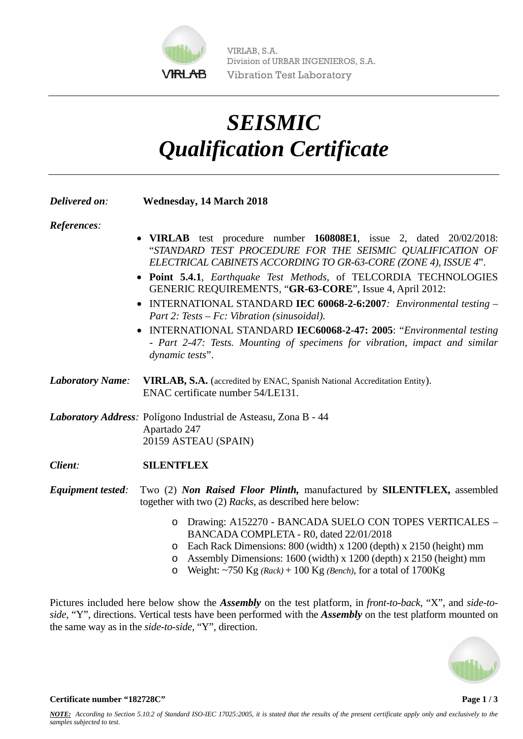

VIRLAB, S.A. Division of URBAR INGENIEROS, S.A. Vibration Test Laboratory

## *SEISMIC Qualification Certificate*

| Delivered on:            | <b>Wednesday, 14 March 2018</b>                                                                                                                                                                                                                                                                                                                                                                                                                                                                                                                                                                                                     |
|--------------------------|-------------------------------------------------------------------------------------------------------------------------------------------------------------------------------------------------------------------------------------------------------------------------------------------------------------------------------------------------------------------------------------------------------------------------------------------------------------------------------------------------------------------------------------------------------------------------------------------------------------------------------------|
| References:              | VIRLAB test procedure number 160808E1, issue 2, dated 20/02/2018:<br>"STANDARD TEST PROCEDURE FOR THE SEISMIC QUALIFICATION OF<br>ELECTRICAL CABINETS ACCORDING TO GR-63-CORE (ZONE 4), ISSUE 4".<br>• Point 5.4.1, Earthquake Test Methods, of TELCORDIA TECHNOLOGIES<br>GENERIC REQUIREMENTS, "GR-63-CORE", Issue 4, April 2012:<br>• INTERNATIONAL STANDARD IEC 60068-2-6:2007. Environmental testing -<br>Part 2: Tests $-$ Fc: Vibration (sinusoidal).<br>INTERNATIONAL STANDARD IEC60068-2-47: 2005: "Environmental testing<br>- Part 2-47: Tests. Mounting of specimens for vibration, impact and similar<br>dynamic tests". |
| <b>Laboratory Name:</b>  | VIRLAB, S.A. (accredited by ENAC, Spanish National Accreditation Entity).<br>ENAC certificate number 54/LE131.                                                                                                                                                                                                                                                                                                                                                                                                                                                                                                                      |
|                          | Laboratory Address: Polígono Industrial de Asteasu, Zona B - 44<br>Apartado 247<br>20159 ASTEAU (SPAIN)                                                                                                                                                                                                                                                                                                                                                                                                                                                                                                                             |
| Client:                  | <b>SILENTFLEX</b>                                                                                                                                                                                                                                                                                                                                                                                                                                                                                                                                                                                                                   |
| <b>Equipment tested:</b> | Two (2) Non Raised Floor Plinth, manufactured by SILENTFLEX, assembled<br>together with two (2) Racks, as described here below:                                                                                                                                                                                                                                                                                                                                                                                                                                                                                                     |
|                          | Drawing: A152270 - BANCADA SUELO CON TOPES VERTICALES -<br>$\circ$<br>BANCADA COMPLETA - R0, dated 22/01/2018<br>Each Rack Dimensions: 800 (width) x 1200 (depth) x 2150 (height) mm<br>O<br>Assembly Dimensions: 1600 (width) x 1200 (depth) x 2150 (height) mm<br>O<br>Weight: ~750 Kg $(Rack)$ + 100 Kg $(Bench)$ , for a total of 1700Kg<br>O                                                                                                                                                                                                                                                                                   |

Pictures included here below show the *Assembly* on the test platform, in *front-to-back*, "X", and *side-toside*, "Y", directions. Vertical tests have been performed with the *Assembly* on the test platform mounted on the same way as in the *side-to-side*, "Y", direction.



**Certificate number "182728C"** Page 1 / 3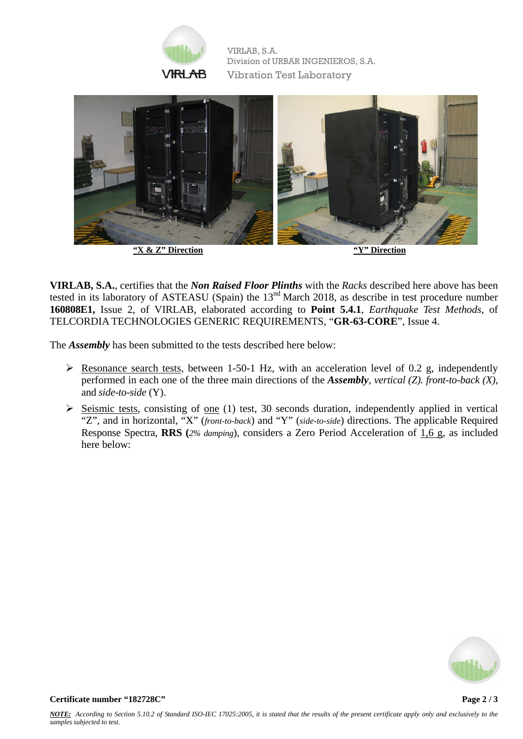

VIRLAB, S.A. Division of URBAR INGENIEROS, S.A. Vibration Test Laboratory



**VIRLAB, S.A.**, certifies that the *Non Raised Floor Plinths* with the *Racks* described here above has been tested in its laboratory of ASTEASU (Spain) the 13<sup>nd</sup> March 2018, as describe in test procedure number **160808E1,** Issue 2, of VIRLAB, elaborated according to **Point 5.4.1**, *Earthquake Test Methods*, of TELCORDIA TECHNOLOGIES GENERIC REQUIREMENTS, "**GR-63-CORE**", Issue 4.

The *Assembly* has been submitted to the tests described here below:

- $\triangleright$  Resonance search tests, between 1-50-1 Hz, with an acceleration level of 0.2 g, independently performed in each one of the three main directions of the *Assembly*, *vertical (Z). front-to-back (X)*, and *side-to-side* (Y).
- $\triangleright$  Seismic tests, consisting of one (1) test, 30 seconds duration, independently applied in vertical "Z", and in horizontal, "X" (*front-to-back*) and "Y" (*side-to-side*) directions. The applicable Required Response Spectra, **RRS (***2% damping*), considers a Zero Period Acceleration of 1,6 g, as included here below: